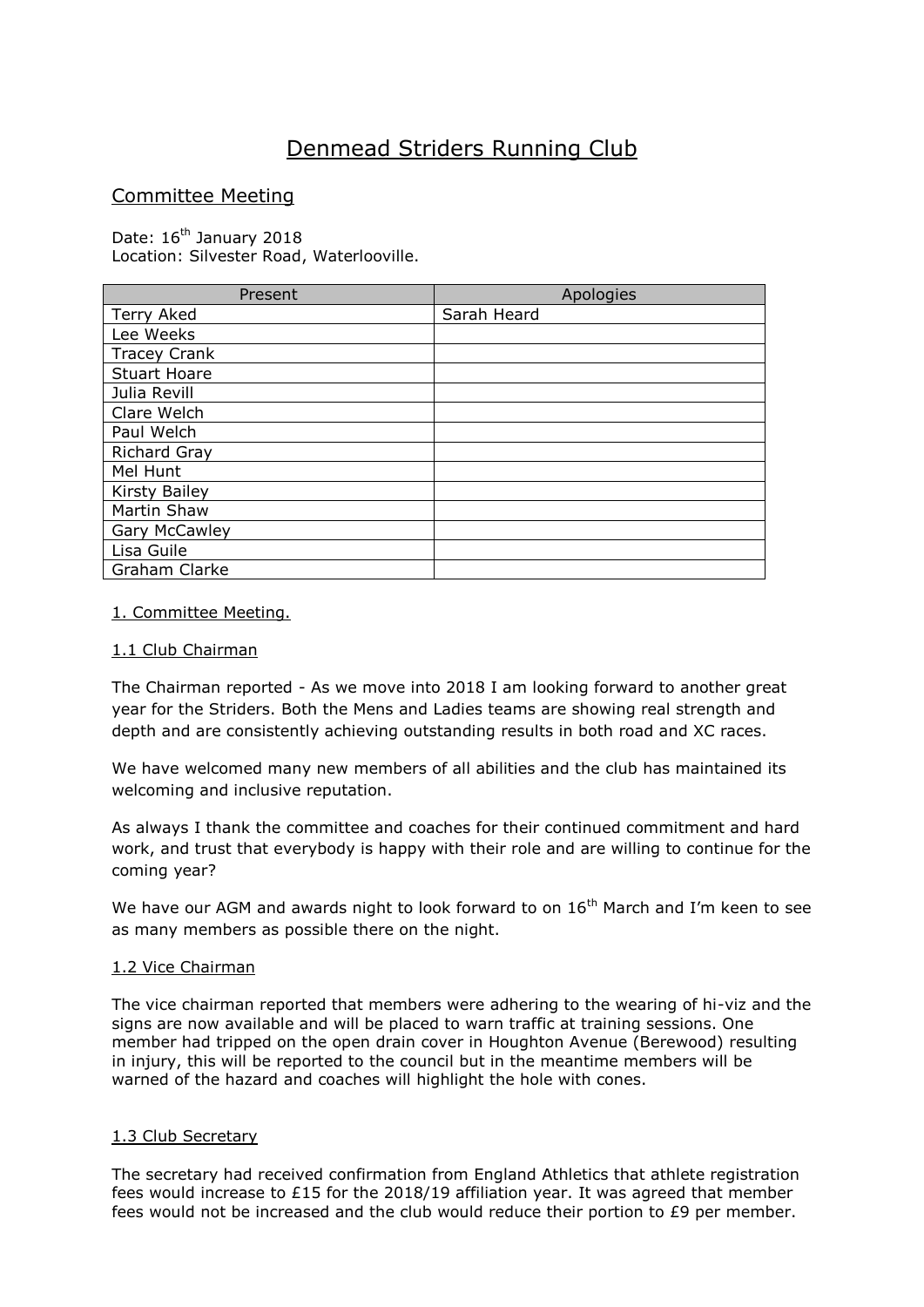# Denmead Striders Running Club

# Committee Meeting

Date: 16<sup>th</sup> January 2018 Location: Silvester Road, Waterlooville.

| Present              | Apologies   |
|----------------------|-------------|
| <b>Terry Aked</b>    | Sarah Heard |
| Lee Weeks            |             |
| <b>Tracey Crank</b>  |             |
| <b>Stuart Hoare</b>  |             |
| Julia Revill         |             |
| Clare Welch          |             |
| Paul Welch           |             |
| <b>Richard Gray</b>  |             |
| Mel Hunt             |             |
| <b>Kirsty Bailey</b> |             |
| Martin Shaw          |             |
| <b>Gary McCawley</b> |             |
| Lisa Guile           |             |
| Graham Clarke        |             |

#### 1. Committee Meeting.

## 1.1 Club Chairman

The Chairman reported - As we move into 2018 I am looking forward to another great year for the Striders. Both the Mens and Ladies teams are showing real strength and depth and are consistently achieving outstanding results in both road and XC races.

We have welcomed many new members of all abilities and the club has maintained its welcoming and inclusive reputation.

As always I thank the committee and coaches for their continued commitment and hard work, and trust that everybody is happy with their role and are willing to continue for the coming year?

We have our AGM and awards night to look forward to on  $16<sup>th</sup>$  March and I'm keen to see as many members as possible there on the night.

#### 1.2 Vice Chairman

The vice chairman reported that members were adhering to the wearing of hi-viz and the signs are now available and will be placed to warn traffic at training sessions. One member had tripped on the open drain cover in Houghton Avenue (Berewood) resulting in injury, this will be reported to the council but in the meantime members will be warned of the hazard and coaches will highlight the hole with cones.

#### 1.3 Club Secretary

The secretary had received confirmation from England Athletics that athlete registration fees would increase to £15 for the 2018/19 affiliation year. It was agreed that member fees would not be increased and the club would reduce their portion to £9 per member.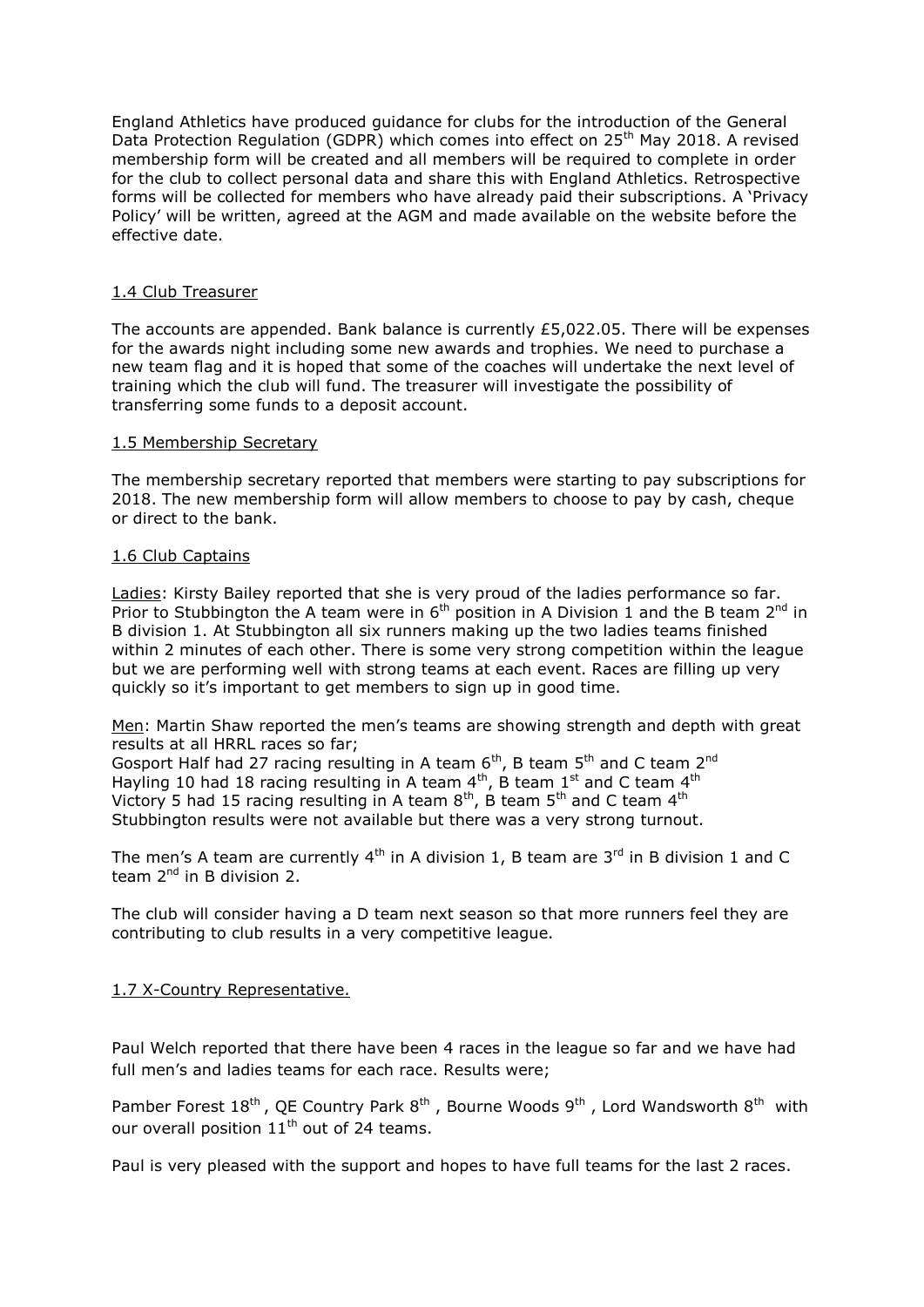England Athletics have produced guidance for clubs for the introduction of the General Data Protection Regulation (GDPR) which comes into effect on 25<sup>th</sup> May 2018. A revised membership form will be created and all members will be required to complete in order for the club to collect personal data and share this with England Athletics. Retrospective forms will be collected for members who have already paid their subscriptions. A 'Privacy Policy' will be written, agreed at the AGM and made available on the website before the effective date.

#### 1.4 Club Treasurer

The accounts are appended. Bank balance is currently £5,022.05. There will be expenses for the awards night including some new awards and trophies. We need to purchase a new team flag and it is hoped that some of the coaches will undertake the next level of training which the club will fund. The treasurer will investigate the possibility of transferring some funds to a deposit account.

#### 1.5 Membership Secretary

The membership secretary reported that members were starting to pay subscriptions for 2018. The new membership form will allow members to choose to pay by cash, cheque or direct to the bank.

#### 1.6 Club Captains

Ladies: Kirsty Bailey reported that she is very proud of the ladies performance so far. Prior to Stubbington the A team were in  $6<sup>th</sup>$  position in A Division 1 and the B team 2<sup>nd</sup> in B division 1. At Stubbington all six runners making up the two ladies teams finished within 2 minutes of each other. There is some very strong competition within the league but we are performing well with strong teams at each event. Races are filling up very quickly so it's important to get members to sign up in good time.

Men: Martin Shaw reported the men's teams are showing strength and depth with great results at all HRRL races so far;

Gosport Half had 27 racing resulting in A team  $6<sup>th</sup>$ , B team  $5<sup>th</sup>$  and C team  $2<sup>nd</sup>$ Hayling 10 had 18 racing resulting in A team  $4^{th}$ , B team  $1^{st}$  and C team  $4^{th}$ Victory 5 had 15 racing resulting in A team  $8<sup>th</sup>$ , B team  $5<sup>th</sup>$  and C team  $4<sup>th</sup>$ Stubbington results were not available but there was a very strong turnout.

The men's A team are currently  $4<sup>th</sup>$  in A division 1, B team are 3<sup>rd</sup> in B division 1 and C team  $2^{nd}$  in B division 2.

The club will consider having a D team next season so that more runners feel they are contributing to club results in a very competitive league.

#### 1.7 X-Country Representative.

Paul Welch reported that there have been 4 races in the league so far and we have had full men's and ladies teams for each race. Results were;

Pamber Forest  $18^{th}$ , QE Country Park  $8^{th}$ , Bourne Woods  $9^{th}$ , Lord Wandsworth  $8^{th}$  with our overall position  $11<sup>th</sup>$  out of 24 teams.

Paul is very pleased with the support and hopes to have full teams for the last 2 races.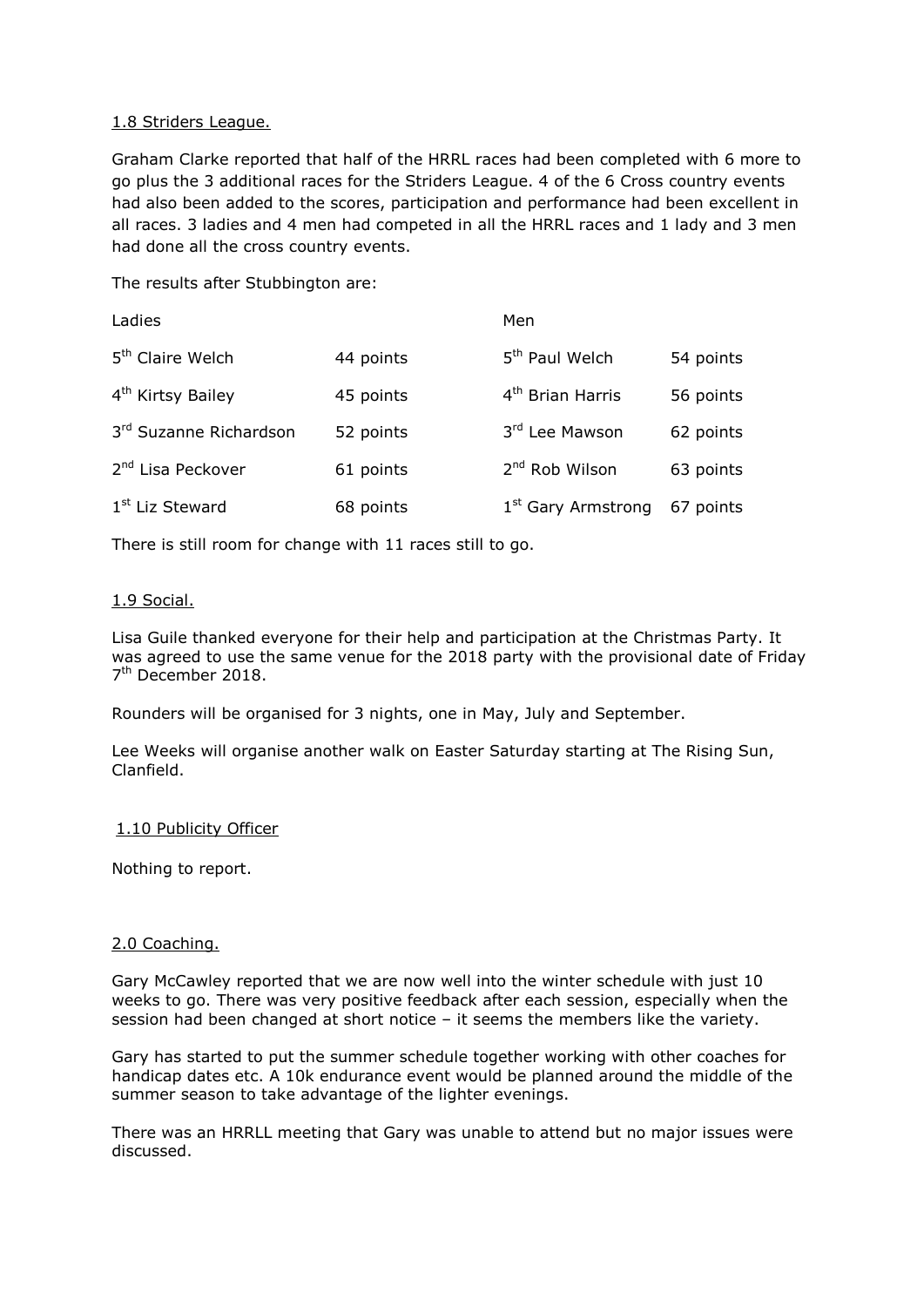# 1.8 Striders League.

Graham Clarke reported that half of the HRRL races had been completed with 6 more to go plus the 3 additional races for the Striders League. 4 of the 6 Cross country events had also been added to the scores, participation and performance had been excellent in all races. 3 ladies and 4 men had competed in all the HRRL races and 1 lady and 3 men had done all the cross country events.

The results after Stubbington are:

| Ladies                        |           | Men                            |           |
|-------------------------------|-----------|--------------------------------|-----------|
| 5 <sup>th</sup> Claire Welch  | 44 points | 5 <sup>th</sup> Paul Welch     | 54 points |
| 4 <sup>th</sup> Kirtsy Bailey | 45 points | 4 <sup>th</sup> Brian Harris   | 56 points |
| 3rd Suzanne Richardson        | 52 points | 3rd Lee Mawson                 | 62 points |
| 2 <sup>nd</sup> Lisa Peckover | 61 points | 2 <sup>nd</sup> Rob Wilson     | 63 points |
| 1 <sup>st</sup> Liz Steward   | 68 points | 1 <sup>st</sup> Gary Armstrong | 67 points |

There is still room for change with 11 races still to go.

# 1.9 Social.

Lisa Guile thanked everyone for their help and participation at the Christmas Party. It was agreed to use the same venue for the 2018 party with the provisional date of Friday 7<sup>th</sup> December 2018.

Rounders will be organised for 3 nights, one in May, July and September.

Lee Weeks will organise another walk on Easter Saturday starting at The Rising Sun, Clanfield.

#### 1.10 Publicity Officer

Nothing to report.

#### 2.0 Coaching.

Gary McCawley reported that we are now well into the winter schedule with just 10 weeks to go. There was very positive feedback after each session, especially when the session had been changed at short notice – it seems the members like the variety.

Gary has started to put the summer schedule together working with other coaches for handicap dates etc. A 10k endurance event would be planned around the middle of the summer season to take advantage of the lighter evenings.

There was an HRRLL meeting that Gary was unable to attend but no major issues were discussed.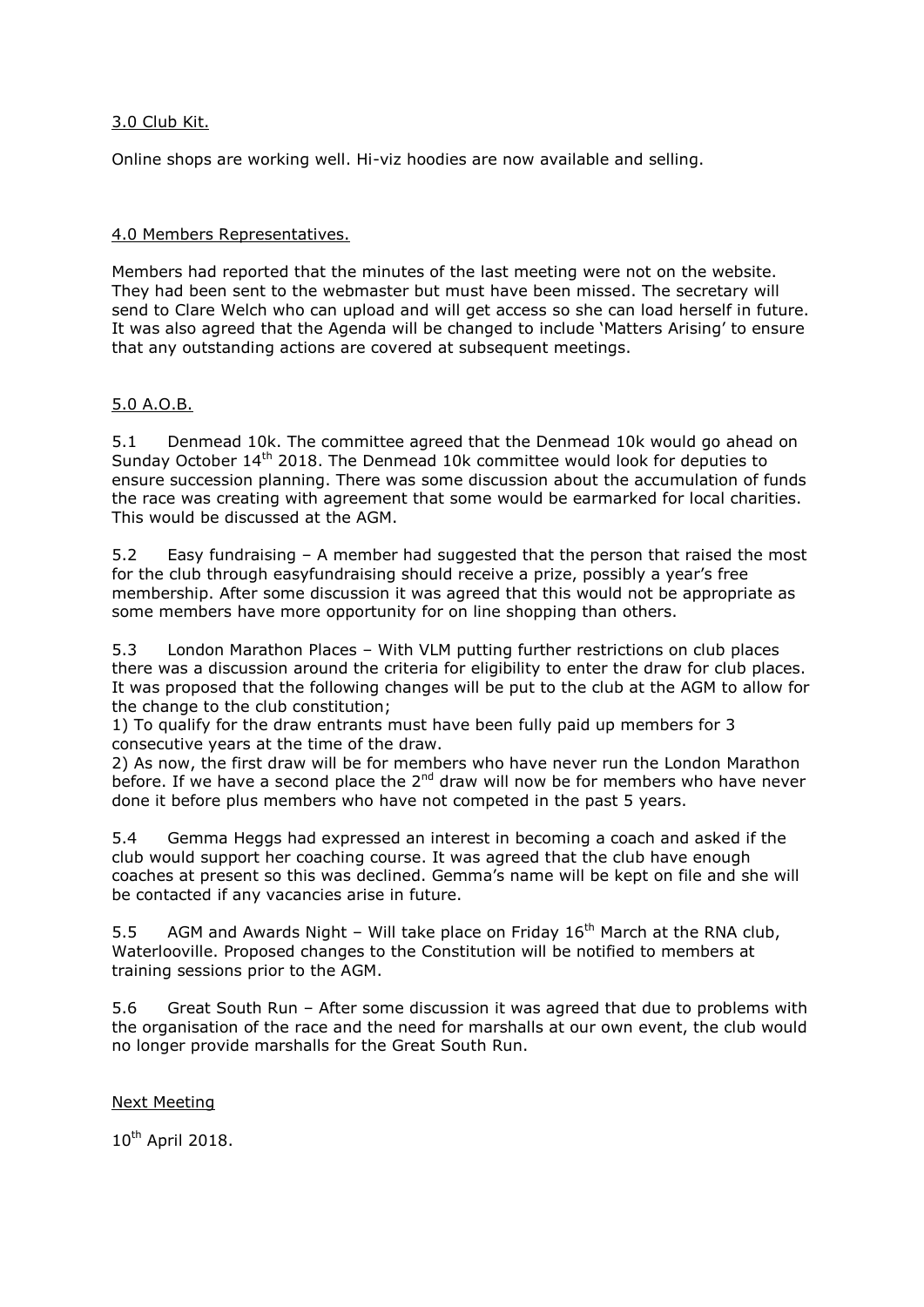# 3.0 Club Kit.

Online shops are working well. Hi-viz hoodies are now available and selling.

## 4.0 Members Representatives.

Members had reported that the minutes of the last meeting were not on the website. They had been sent to the webmaster but must have been missed. The secretary will send to Clare Welch who can upload and will get access so she can load herself in future. It was also agreed that the Agenda will be changed to include 'Matters Arising' to ensure that any outstanding actions are covered at subsequent meetings.

# 5.0 A.O.B.

5.1 Denmead 10k. The committee agreed that the Denmead 10k would go ahead on Sunday October 14<sup>th</sup> 2018. The Denmead 10k committee would look for deputies to ensure succession planning. There was some discussion about the accumulation of funds the race was creating with agreement that some would be earmarked for local charities. This would be discussed at the AGM.

5.2 Easy fundraising – A member had suggested that the person that raised the most for the club through easyfundraising should receive a prize, possibly a year's free membership. After some discussion it was agreed that this would not be appropriate as some members have more opportunity for on line shopping than others.

5.3 London Marathon Places – With VLM putting further restrictions on club places there was a discussion around the criteria for eligibility to enter the draw for club places. It was proposed that the following changes will be put to the club at the AGM to allow for the change to the club constitution;

1) To qualify for the draw entrants must have been fully paid up members for 3 consecutive years at the time of the draw.

2) As now, the first draw will be for members who have never run the London Marathon before. If we have a second place the  $2<sup>nd</sup>$  draw will now be for members who have never done it before plus members who have not competed in the past 5 years.

5.4 Gemma Heggs had expressed an interest in becoming a coach and asked if the club would support her coaching course. It was agreed that the club have enough coaches at present so this was declined. Gemma's name will be kept on file and she will be contacted if any vacancies arise in future.

5.5 AGM and Awards Night – Will take place on Friday  $16<sup>th</sup>$  March at the RNA club. Waterlooville. Proposed changes to the Constitution will be notified to members at training sessions prior to the AGM.

5.6 Great South Run – After some discussion it was agreed that due to problems with the organisation of the race and the need for marshalls at our own event, the club would no longer provide marshalls for the Great South Run.

#### Next Meeting

10<sup>th</sup> April 2018.